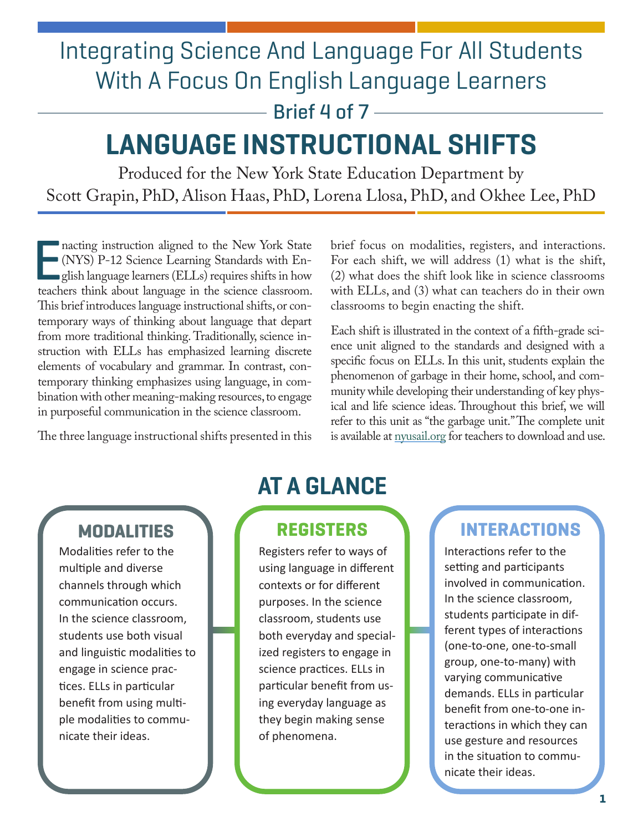# Integrating Science And Language For All Students With A Focus On English Language Learners

Brief 4 of  $7 -$ 

# **LANGUAGE INSTRUCTIONAL SHIFTS**

Produced for the New York State Education Department by Scott Grapin, PhD, Alison Haas, PhD, Lorena Llosa, PhD, and Okhee Lee, PhD

bination with other meaning-making resources, to engage<br>in purposeful communication in the science classroom. E teachers think about language in the science classroom. with ELLs, and (3) what can teachers do in their own This brief introduces language instructional shifts, or con-<br>temporary ways of thinking about language that depart

Inacting instruction aligned to the New York State brief focus on modalities, registers, and interactions.<br>In (NYS) P-12 Science Learning Standards with En-For each shift, we will address (1) what is the shift, For each shift, we will address  $(1)$  what is the shift,  $(2)$  what does the shift look like in science classrooms  $\bullet$ glish language learners (ELLs) requires shifts in how (2) what does the shift look like in science classrooms<br>hers think about language in the science classroom. with ELLs, and (3) what can teachers do in their own

temporary ways of thinking about language that depart<br>from more traditional thinking. Traditionally, science in-<br>struction with ELLs has emphasized learning discrete<br>elements of vocabulary and grammar. In contrast, con-<br>te The three language instructional shifts presented in this is available at nyusail.org for teachers to download and use.

Modalities refer to the multiple and diverse channels through which communication occurs. In the science classroom, students use both visual and linguistic modalities to engage in science practices. ELLs in particular benefit from using multiple modalities to communicate their ideas.

## **AT A GLANCE**

Registers refer to ways of using language in different contexts or for different purposes. In the science classroom, students use both everyday and specialized registers to engage in science practices. ELLs in particular benefit from using everyday language as they begin making sense of phenomena.

#### **MODALITIES REGISTERS INTERACTIONS**

Interactions refer to the setting and participants involved in communication. In the science classroom, students participate in different types of interactions (one-to-one, one-to-small group, one-to-many) with varying communicative demands. ELLs in particular benefit from one-to-one interactions in which they can use gesture and resources in the situation to communicate their ideas.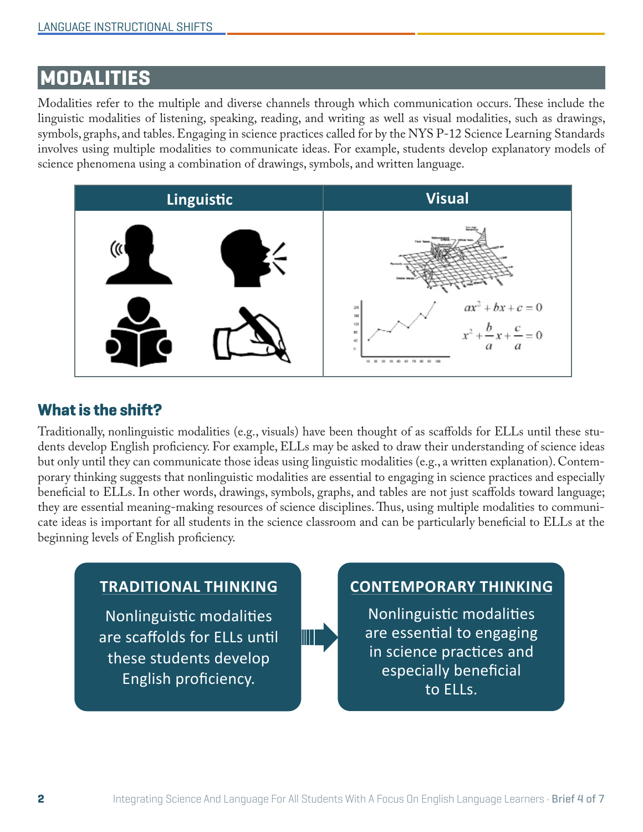## **MODALITIES**

Modalities refer to the multiple and diverse channels through which communication occurs. These include the linguistic modalities of listening, speaking, reading, and writing as well as visual modalities, such as drawings, symbols, graphs, and tables. Engaging in science practices called for by the NYS P-12 Science Learning Standards involves using multiple modalities to communicate ideas. For example, students develop explanatory models of science phenomena using a combination of drawings, symbols, and written language.



#### **What is the shift?**

Traditionally, nonlinguistic modalities (e.g., visuals) have been thought of as scafolds for ELLs until these students develop English profciency. For example, ELLs may be asked to draw their understanding of science ideas but only until they can communicate those ideas using linguistic modalities (e.g., a written explanation). Contemporary thinking suggests that nonlinguistic modalities are essential to engaging in science practices and especially benefcial to ELLs. In other words, drawings, symbols, graphs, and tables are not just scafolds toward language; they are essential meaning-making resources of science disciplines. Thus, using multiple modalities to communicate ideas is important for all students in the science classroom and can be particularly benefcial to ELLs at the beginning levels of English proficiency.

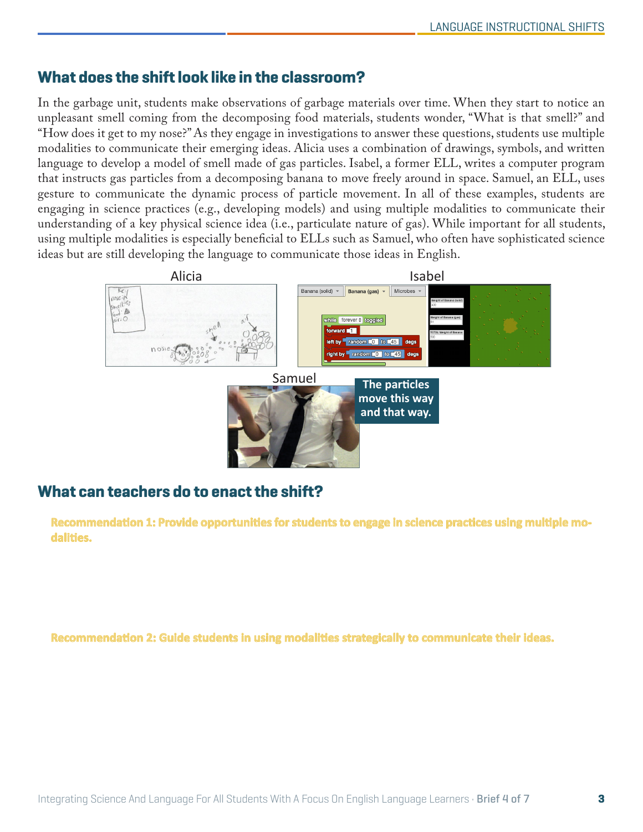#### **What does the shift look like in the classroom?**

In the garbage unit, students make observations of garbage materials over time. When they start to notice an unpleasant smell coming from the decomposing food materials, students wonder, "What is that smell?" and "How does it get to my nose?" As they engage in investigations to answer these questions, students use multiple modalities to communicate their emerging ideas. Alicia uses a combination of drawings, symbols, and written language to develop a model of smell made of gas particles. Isabel, a former ELL, writes a computer program that instructs gas particles from a decomposing banana to move freely around in space. Samuel, an ELL, uses gesture to communicate the dynamic process of particle movement. In all of these examples, students are engaging in science practices (e.g., developing models) and using multiple modalities to communicate their understanding of a key physical science idea (i.e., particulate nature of gas). While important for all students, using multiple modalities is especially benefcial to ELLs such as Samuel, who often have sophisticated science ideas but are still developing the language to communicate those ideas in English.



#### **What can teachers do to enact the shift?**

Recommendation 1: Provide opportunities for students to engage in science practices using multiple mo**dalities.** These include science products traditionally considered multimodal, such as analyzing and inter---

Recommendation 2: Guide students in using modalities strategically to communicate their ideas.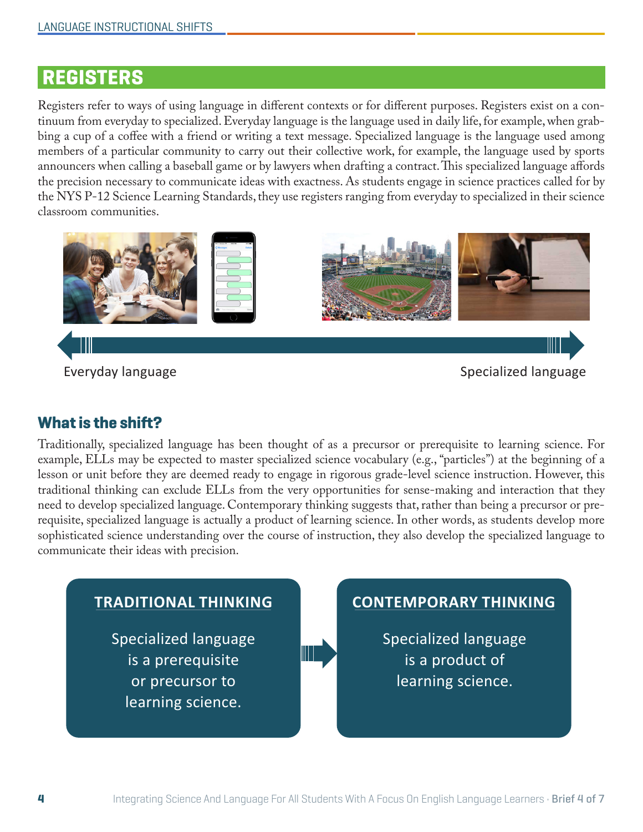## **REGISTERS**

Registers refer to ways of using language in diferent contexts or for diferent purposes. Registers exist on a continuum from everyday to specialized. Everyday language is the language used in daily life, for example, when grabbing a cup of a cofee with a friend or writing a text message. Specialized language is the language used among members of a particular community to carry out their collective work, for example, the language used by sports announcers when calling a baseball game or by lawyers when drafting a contract. This specialized language affords the precision necessary to communicate ideas with exactness. As students engage in science practices called for by the NYS P-12 Science Learning Standards, they use registers ranging from everyday to specialized in their science classroom communities.



Everyday language Specialized language Specialized language

#### **What is the shift?**

Traditionally, specialized language has been thought of as a precursor or prerequisite to learning science. For example, ELLs may be expected to master specialized science vocabulary (e.g., "particles") at the beginning of a lesson or unit before they are deemed ready to engage in rigorous grade-level science instruction. However, this traditional thinking can exclude ELLs from the very opportunities for sense-making and interaction that they need to develop specialized language. Contemporary thinking suggests that, rather than being a precursor or prerequisite, specialized language is actually a product of learning science. In other words, as students develop more sophisticated science understanding over the course of instruction, they also develop the specialized language to communicate their ideas with precision.

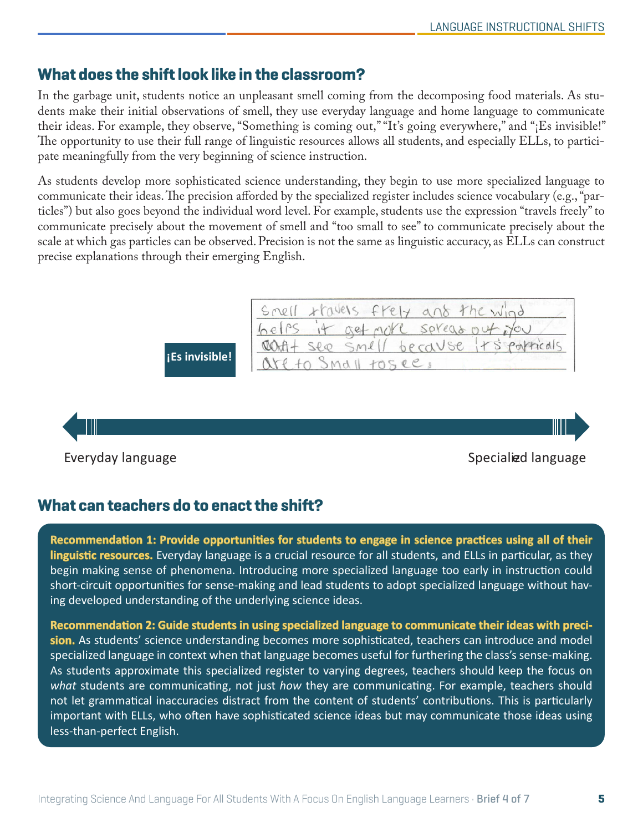#### **What does the shift look like in the classroom?**

In the garbage unit, students notice an unpleasant smell coming from the decomposing food materials. As students make their initial observations of smell, they use everyday language and home language to communicate their ideas. For example, they observe, "Something is coming out," "It's going everywhere," and "¡Es invisible!" The opportunity to use their full range of linguistic resources allows all students, and especially ELLs, to participate meaningfully from the very beginning of science instruction.

As students develop more sophisticated science understanding, they begin to use more specialized language to communicate their ideas. The precision afforded by the specialized register includes science vocabulary (e.g., "particles") but also goes beyond the individual word level. For example, students use the expression "travels freely" to communicate precisely about the movement of smell and "too small to see" to communicate precisely about the scale at which gas particles can be observed. Precision is not the same as linguistic accuracy, as ELLs can construct precise explanations through their emerging English.

| Snell travels frely and the wind |  |  |                                        |  |
|----------------------------------|--|--|----------------------------------------|--|
| belps it get note spread out you |  |  |                                        |  |
|                                  |  |  | COAT + see smell because Its particuls |  |
| are to Small tosee,              |  |  |                                        |  |

**!Es invisible! !**

#### Everyday language Specialized language Specialized language

#### **What can teachers do to enact the shift?**

**Recommendation 1: Provide opportunities for students to engage in science practices using all of their their linguistic resources.** Everyday language is a crucial resource for all students, and ELLs in particular, as they begin making sense of phenomena. Introducing more specialized language too early in instruction could short-circuit opportunities for sense-making and lead students to adopt specialized language without having developed understanding of the underlying science ideas.

Recommendation 2: Guide students in using specialized language to communicate their ideas with preci**sion.** As students' science understanding becomes more sophisticated, teachers can introduce and model specialized language in context when that language becomes useful for furthering the class's sense-making. As students approximate this specialized register to varying degrees, teachers should keep the focus on *what* students are communicating, not just *how* they are communicating. For example, teachers should not let grammatical inaccuracies distract from the content of students' contributions. This is particularly important with ELLs, who often have sophisticated science ideas but may communicate those ideas using less-than-perfect English.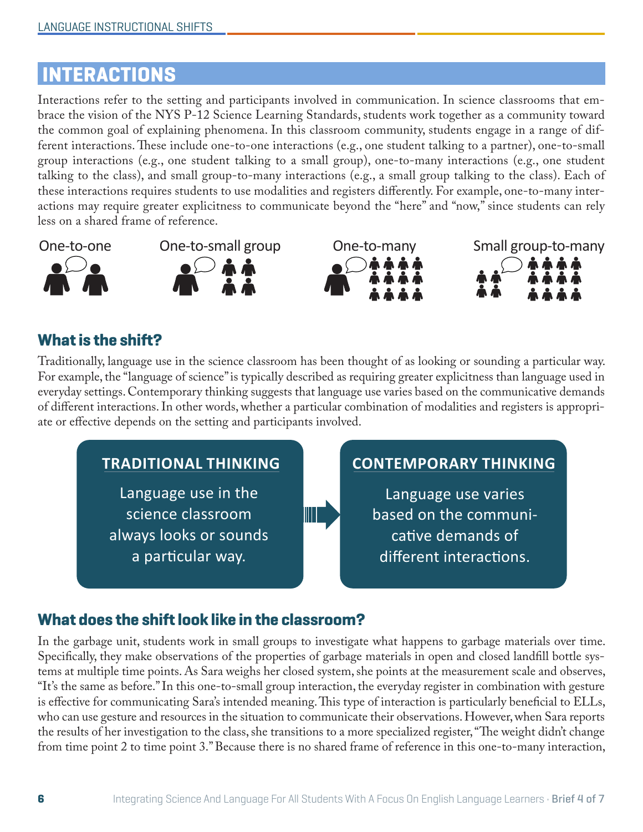## **LINTERACTIONS**

Interactions refer to the setting and participants involved in communication. In science classrooms that embrace the vision of the NYS P-12 Science Learning Standards, students work together as a community toward the common goal of explaining phenomena. In this classroom community, students engage in a range of different interactions. These include one-to-one interactions (e.g., one student talking to a partner), one-to-small group interactions (e.g., one student talking to a small group), one-to-many interactions (e.g., one student talking to the class), and small group-to-many interactions (e.g., a small group talking to the class). Each of these interactions requires students to use modalities and registers diferently. For example, one-to-many interactions may require greater explicitness to communicate beyond the "here" and "now," since students can rely less on a shared frame of reference.









#### **What is the shift?**

Traditionally, language use in the science classroom has been thought of as looking or sounding a particular way. For example, the "language of science" is typically described as requiring greater explicitness than language used in everyday settings. Contemporary thinking suggests that language use varies based on the communicative demands of diferent interactions. In other words, whether a particular combination of modalities and registers is appropriate or efective depends on the setting and participants involved.



#### **What does the shift look like in the classroom?**

In the garbage unit, students work in small groups to investigate what happens to garbage materials over time. Specifcally, they make observations of the properties of garbage materials in open and closed landfll bottle systems at multiple time points. As Sara weighs her closed system, she points at the measurement scale and observes, "It's the same as before." In this one-to-small group interaction, the everyday register in combination with gesture is effective for communicating Sara's intended meaning. This type of interaction is particularly beneficial to ELLs, who can use gesture and resources in the situation to communicate their observations. However, when Sara reports the results of her investigation to the class, she transitions to a more specialized register, "The weight didn't change from time point 2 to time point 3." Because there is no shared frame of reference in this one-to-many interaction,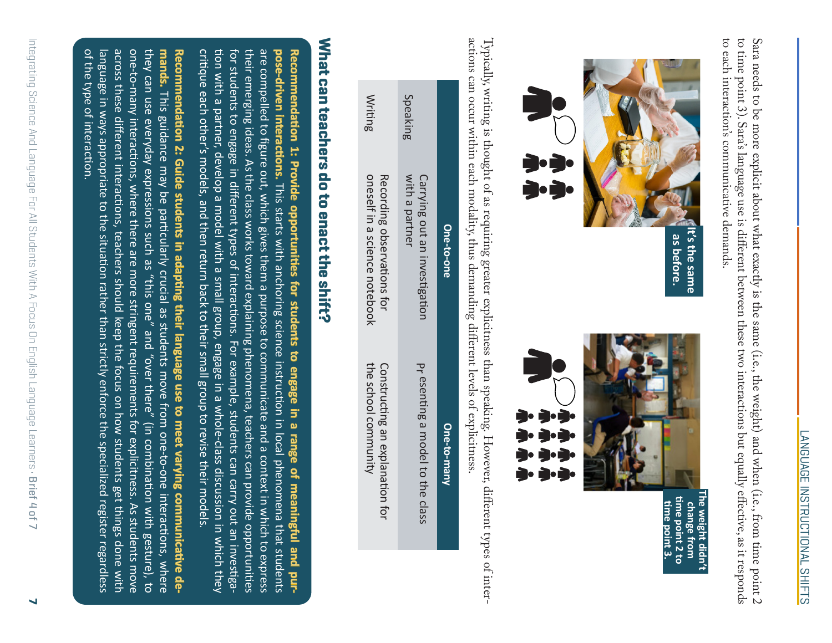to time point 3). Sara's language use is different between these two interactions but equally effective, as it responds Sara needs to be more explicit about what exactly is the same (i.e., the weight) and when (i.e., from time point  $2$ to each interaction's communicative demands. to each interaction's communicative demands. to time point 3). Sara's language use is diferent between these two interactions but equally efective, as it responds Sara needs to be more explicit about what exactly is the same (i.e., the weight) and when (i.e., trom time point  $2$ 



Typically, writing is thought of as requiring greater explicitness than speaking. However, diferent types of interactions can occur within each modality, thus demanding diferent levels of explicitness.

| C<br>De        | can occur within each modality, thus demanding different levels of explicitness.<br>j<br>Carrying out an investigation<br>One-to-one | y, writing is thought of as requiring greater explicitness than speaking. However, different type<br>pr esenting a model to the class<br>)・)・)<br>ラ・ラ・ラ<br>ラ・ラ・ラ・ラ<br>ううう<br>One-to-many |
|----------------|--------------------------------------------------------------------------------------------------------------------------------------|------------------------------------------------------------------------------------------------------------------------------------------------------------------------------------------|
| Speaking       | Recording observations for<br>with a partner                                                                                         | Constructing an explanation for                                                                                                                                                          |
| <b>Writing</b> | oneself in a science notebook                                                                                                        | the school community                                                                                                                                                                     |

# What can teachers do to enact the shift? **What can teachers do to enact the shift?**

critique each other's models, and then return back to their small group to revise their models critique each other's models, and then return back to their small group to revise their models. tion with a partner, develop a model with a small group, engage in a whole-class discussion in which they tion with a partner, develop a model with a small group, engage in a whole-class discussion in which they for students to engage in different types of interactions. For example, students can carry out an investigafor students to engage in different types of interactions. For example, students can carry out an investiga their emerging ideas. As the class works toward explaining phenomena, teachers can provide opportunities their emerging ideas. As the class works toward explaining phenomena, teachers can provide opportunities are compelled to figure out, which gives them a purpose to communicate and a context in which to express are compelled **pose-driven interactions. interactions. Recommendation 1: Provide opportunities for students to engage in a range of meaningful and purpose-driven interactions.** This starts with anchoring science instruction in local phenomena that students commendation 1: Provide opportunities for students to engage in a range of meaningful and purto figure out, which gives them a purpose to communicate and a context in which to express This starts with anchoring science instruction in local phenomena that students

of the type of interaction. of the type of interaction. language in ways appropriate to the situation rather than strictly enforce the specialized register regardless language in ways appropriate to the situation rather than strictly enforce the specialized register regardless across these different interactions, teachers should keep the focus on how students get things done with across these different interactions, teachers should keep the focus on how students get things done with one-to-many one-to-many interactions, where there are more stringent requirements for explicitness. As students move they can use everyday expressions such as "this one" and "over there" they can use everyday expressions such as "this one" and "over there" (in combination with gesture), to **mands.** This guidance may be particularly crucial as students move from one-to-one interactions, where **Rec** ecommendation 2: Guide students in adapting their language use to meet varying communicative de**ommendation ommenda** This guidance interactions, where there are more stringent requirements for explicitness. As students move **2: Guide** may be particularly crucial as students move from one-to-one interactions, where **students in adapting adap their languag e use to** (in combination with gesture), to **meet varying communica ommunic tive**